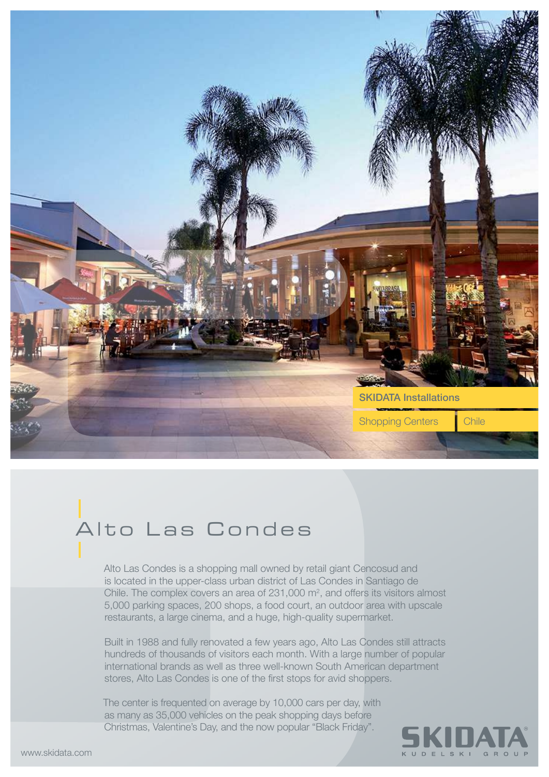

## Alto Las Condes

Alto Las Condes is a shopping mall owned by retail giant Cencosud and is located in the upper-class urban district of Las Condes in Santiago de Chile. The complex covers an area of  $231,000$  m<sup>2</sup>, and offers its visitors almost 5,000 parking spaces, 200 shops, a food court, an outdoor area with upscale restaurants, a large cinema, and a huge, high-quality supermarket.

Built in 1988 and fully renovated a few years ago, Alto Las Condes still attracts hundreds of thousands of visitors each month. With a large number of popular international brands as well as three well-known South American department stores, Alto Las Condes is one of the first stops for avid shoppers.

The center is frequented on average by 10,000 cars per day, with as many as 35,000 vehicles on the peak shopping days before Christmas, Valentine's Day, and the now popular "Black Friday".